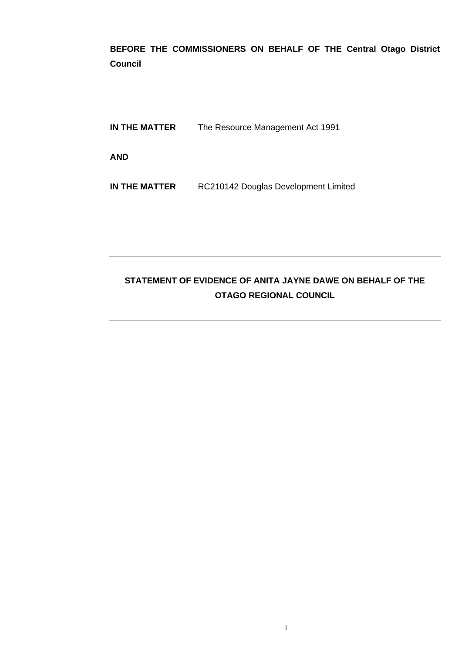**BEFORE THE COMMISSIONERS ON BEHALF OF THE Central Otago District Council**

**IN THE MATTER** The Resource Management Act 1991 **AND**

**IN THE MATTER** RC210142 Douglas Development Limited

# **STATEMENT OF EVIDENCE OF ANITA JAYNE DAWE ON BEHALF OF THE OTAGO REGIONAL COUNCIL**

1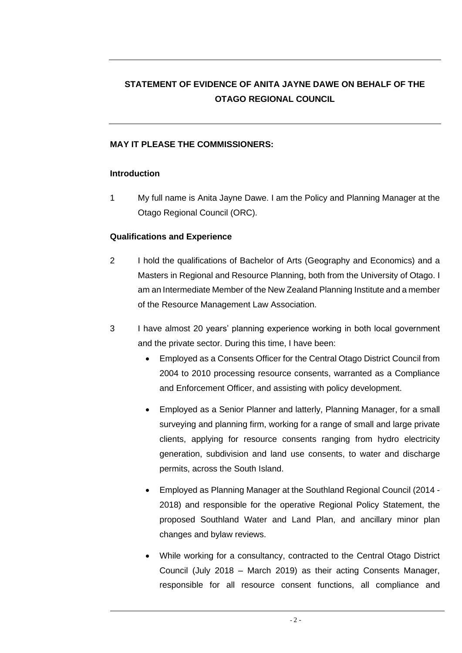# **STATEMENT OF EVIDENCE OF ANITA JAYNE DAWE ON BEHALF OF THE OTAGO REGIONAL COUNCIL**

# **MAY IT PLEASE THE COMMISSIONERS:**

#### **Introduction**

1 My full name is Anita Jayne Dawe. I am the Policy and Planning Manager at the Otago Regional Council (ORC).

# **Qualifications and Experience**

- 2 I hold the qualifications of Bachelor of Arts (Geography and Economics) and a Masters in Regional and Resource Planning, both from the University of Otago. I am an Intermediate Member of the New Zealand Planning Institute and a member of the Resource Management Law Association.
- 3 I have almost 20 years' planning experience working in both local government and the private sector. During this time, I have been:
	- Employed as a Consents Officer for the Central Otago District Council from 2004 to 2010 processing resource consents, warranted as a Compliance and Enforcement Officer, and assisting with policy development.
	- Employed as a Senior Planner and latterly, Planning Manager, for a small surveying and planning firm, working for a range of small and large private clients, applying for resource consents ranging from hydro electricity generation, subdivision and land use consents, to water and discharge permits, across the South Island.
	- Employed as Planning Manager at the Southland Regional Council (2014 2018) and responsible for the operative Regional Policy Statement, the proposed Southland Water and Land Plan, and ancillary minor plan changes and bylaw reviews.
	- While working for a consultancy, contracted to the Central Otago District Council (July 2018 – March 2019) as their acting Consents Manager, responsible for all resource consent functions, all compliance and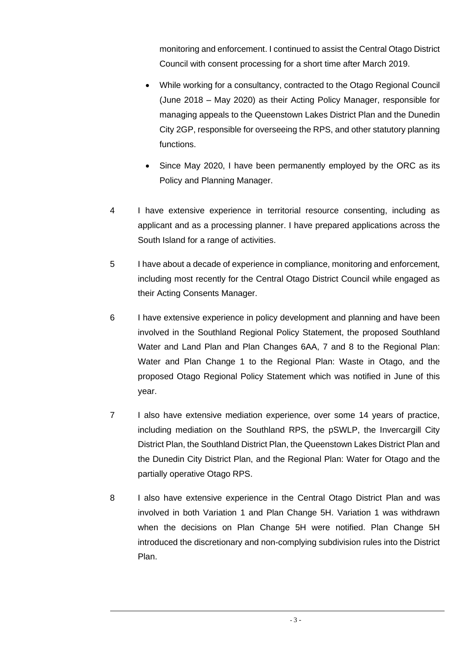monitoring and enforcement. I continued to assist the Central Otago District Council with consent processing for a short time after March 2019.

- While working for a consultancy, contracted to the Otago Regional Council (June 2018 – May 2020) as their Acting Policy Manager, responsible for managing appeals to the Queenstown Lakes District Plan and the Dunedin City 2GP, responsible for overseeing the RPS, and other statutory planning functions.
- Since May 2020, I have been permanently employed by the ORC as its Policy and Planning Manager.
- 4 I have extensive experience in territorial resource consenting, including as applicant and as a processing planner. I have prepared applications across the South Island for a range of activities.
- 5 I have about a decade of experience in compliance, monitoring and enforcement, including most recently for the Central Otago District Council while engaged as their Acting Consents Manager.
- 6 I have extensive experience in policy development and planning and have been involved in the Southland Regional Policy Statement, the proposed Southland Water and Land Plan and Plan Changes 6AA, 7 and 8 to the Regional Plan: Water and Plan Change 1 to the Regional Plan: Waste in Otago, and the proposed Otago Regional Policy Statement which was notified in June of this year.
- 7 I also have extensive mediation experience, over some 14 years of practice, including mediation on the Southland RPS, the pSWLP, the Invercargill City District Plan, the Southland District Plan, the Queenstown Lakes District Plan and the Dunedin City District Plan, and the Regional Plan: Water for Otago and the partially operative Otago RPS.
- 8 I also have extensive experience in the Central Otago District Plan and was involved in both Variation 1 and Plan Change 5H. Variation 1 was withdrawn when the decisions on Plan Change 5H were notified. Plan Change 5H introduced the discretionary and non-complying subdivision rules into the District Plan.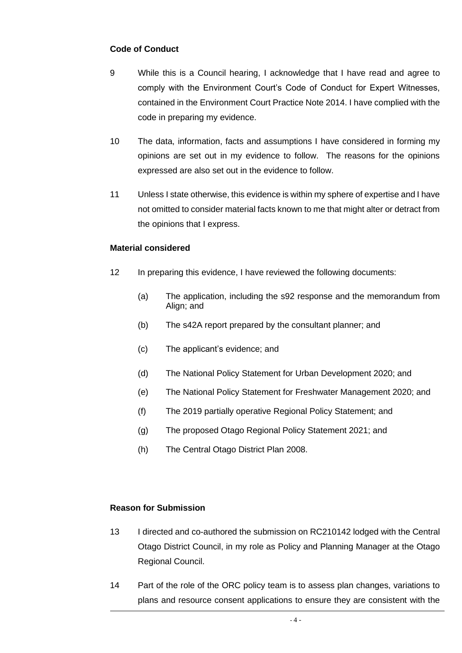# **Code of Conduct**

- 9 While this is a Council hearing, I acknowledge that I have read and agree to comply with the Environment Court's Code of Conduct for Expert Witnesses, contained in the Environment Court Practice Note 2014. I have complied with the code in preparing my evidence.
- 10 The data, information, facts and assumptions I have considered in forming my opinions are set out in my evidence to follow. The reasons for the opinions expressed are also set out in the evidence to follow.
- 11 Unless I state otherwise, this evidence is within my sphere of expertise and I have not omitted to consider material facts known to me that might alter or detract from the opinions that I express.

#### **Material considered**

- 12 In preparing this evidence, I have reviewed the following documents:
	- (a) The application, including the s92 response and the memorandum from Align; and
	- (b) The s42A report prepared by the consultant planner; and
	- (c) The applicant's evidence; and
	- (d) The National Policy Statement for Urban Development 2020; and
	- (e) The National Policy Statement for Freshwater Management 2020; and
	- (f) The 2019 partially operative Regional Policy Statement; and
	- (g) The proposed Otago Regional Policy Statement 2021; and
	- (h) The Central Otago District Plan 2008.

#### **Reason for Submission**

- 13 I directed and co-authored the submission on RC210142 lodged with the Central Otago District Council, in my role as Policy and Planning Manager at the Otago Regional Council.
- 14 Part of the role of the ORC policy team is to assess plan changes, variations to plans and resource consent applications to ensure they are consistent with the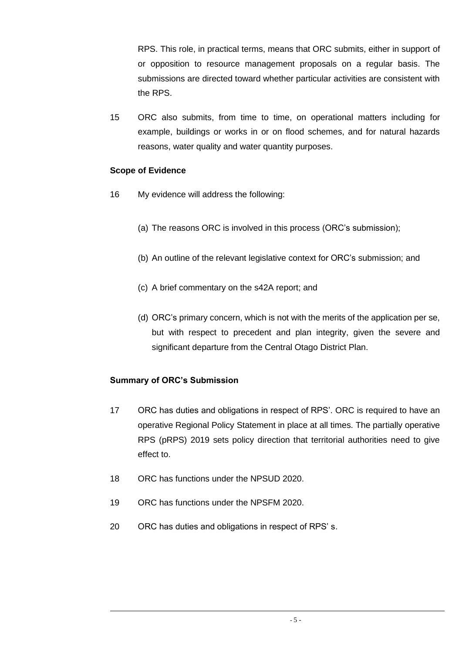RPS. This role, in practical terms, means that ORC submits, either in support of or opposition to resource management proposals on a regular basis. The submissions are directed toward whether particular activities are consistent with the RPS.

15 ORC also submits, from time to time, on operational matters including for example, buildings or works in or on flood schemes, and for natural hazards reasons, water quality and water quantity purposes.

# **Scope of Evidence**

- 16 My evidence will address the following:
	- (a) The reasons ORC is involved in this process (ORC's submission);
	- (b) An outline of the relevant legislative context for ORC's submission; and
	- (c) A brief commentary on the s42A report; and
	- (d) ORC's primary concern, which is not with the merits of the application per se, but with respect to precedent and plan integrity, given the severe and significant departure from the Central Otago District Plan.

# **Summary of ORC's Submission**

- 17 ORC has duties and obligations in respect of RPS'. ORC is required to have an operative Regional Policy Statement in place at all times. The partially operative RPS (pRPS) 2019 sets policy direction that territorial authorities need to give effect to.
- 18 ORC has functions under the NPSUD 2020.
- 19 ORC has functions under the NPSFM 2020.
- 20 ORC has duties and obligations in respect of RPS' s.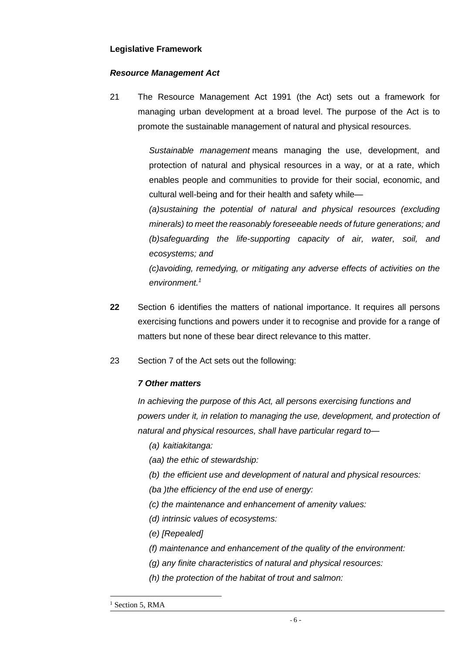#### **Legislative Framework**

#### *Resource Management Act*

21 The Resource Management Act 1991 (the Act) sets out a framework for managing urban development at a broad level. The purpose of the Act is to promote the sustainable management of natural and physical resources.

> *Sustainable management* means managing the use, development, and protection of natural and physical resources in a way, or at a rate, which enables people and communities to provide for their social, economic, and cultural well-being and for their health and safety while—

> *(a)sustaining the potential of natural and physical resources (excluding minerals) to meet the reasonably foreseeable needs of future generations; and (b)safeguarding the life-supporting capacity of air, water, soil, and ecosystems; and*

> *(c)avoiding, remedying, or mitigating any adverse effects of activities on the environment.<sup>1</sup>*

- **22** Section 6 identifies the matters of national importance. It requires all persons exercising functions and powers under it to recognise and provide for a range of matters but none of these bear direct relevance to this matter.
- 23 Section 7 of the Act sets out the following:

#### *7 Other matters*

*In achieving the purpose of this Act, all persons exercising functions and powers under it, in relation to managing the use, development, and protection of natural and physical resources, shall have particular regard to—*

- *(a) kaitiakitanga:*
- *(aa) the ethic of stewardship:*
- *(b) the efficient use and development of natural and physical resources:*
- *(ba )the efficiency of the end use of energy:*
- *(c) the maintenance and enhancement of amenity values:*
- *(d) intrinsic values of ecosystems:*
- *(e) [Repealed]*
- *(f) maintenance and enhancement of the quality of the environment:*
- *(g) any finite characteristics of natural and physical resources:*
- *(h) the protection of the habitat of trout and salmon:*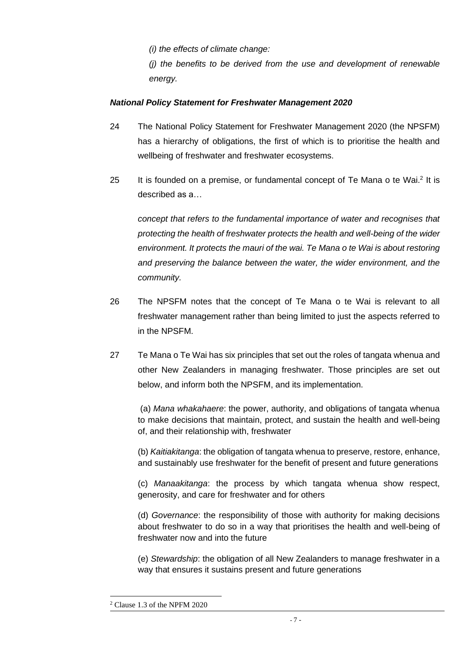*(i) the effects of climate change:*

*(j) the benefits to be derived from the use and development of renewable energy.*

# *National Policy Statement for Freshwater Management 2020*

- 24 The National Policy Statement for Freshwater Management 2020 (the NPSFM) has a hierarchy of obligations, the first of which is to prioritise the health and wellbeing of freshwater and freshwater ecosystems.
- 25 It is founded on a premise, or fundamental concept of Te Mana o te Wai.<sup>2</sup> It is described as a…

*concept that refers to the fundamental importance of water and recognises that protecting the health of freshwater protects the health and well-being of the wider environment. It protects the mauri of the wai. Te Mana o te Wai is about restoring and preserving the balance between the water, the wider environment, and the community.* 

- 26 The NPSFM notes that the concept of Te Mana o te Wai is relevant to all freshwater management rather than being limited to just the aspects referred to in the NPSFM.
- 27 Te Mana o Te Wai has six principles that set out the roles of tangata whenua and other New Zealanders in managing freshwater. Those principles are set out below, and inform both the NPSFM, and its implementation.

(a) *Mana whakahaere*: the power, authority, and obligations of tangata whenua to make decisions that maintain, protect, and sustain the health and well-being of, and their relationship with, freshwater

(b) *Kaitiakitanga*: the obligation of tangata whenua to preserve, restore, enhance, and sustainably use freshwater for the benefit of present and future generations

(c) *Manaakitanga*: the process by which tangata whenua show respect, generosity, and care for freshwater and for others

(d) *Governance*: the responsibility of those with authority for making decisions about freshwater to do so in a way that prioritises the health and well-being of freshwater now and into the future

(e) *Stewardship*: the obligation of all New Zealanders to manage freshwater in a way that ensures it sustains present and future generations

<sup>2</sup> Clause 1.3 of the NPFM 2020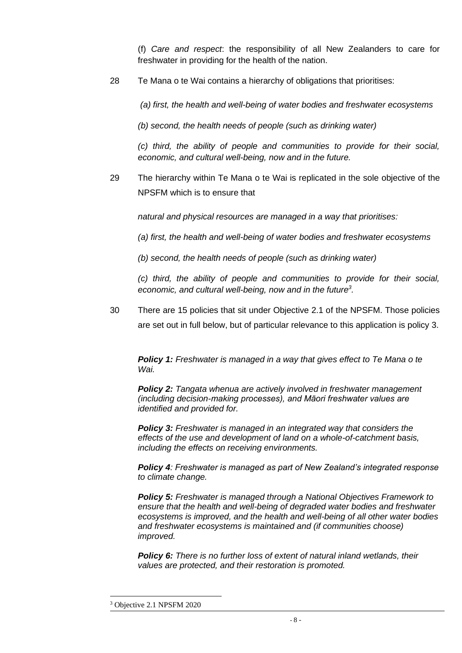(f) *Care and respect*: the responsibility of all New Zealanders to care for freshwater in providing for the health of the nation.

28 Te Mana o te Wai contains a hierarchy of obligations that prioritises:

*(a) first, the health and well-being of water bodies and freshwater ecosystems* 

*(b) second, the health needs of people (such as drinking water)* 

*(c) third, the ability of people and communities to provide for their social, economic, and cultural well-being, now and in the future.* 

29 The hierarchy within Te Mana o te Wai is replicated in the sole objective of the NPSFM which is to ensure that

*natural and physical resources are managed in a way that prioritises:* 

*(a) first, the health and well-being of water bodies and freshwater ecosystems* 

*(b) second, the health needs of people (such as drinking water)* 

*(c) third, the ability of people and communities to provide for their social, economic, and cultural well-being, now and in the future<sup>3</sup> .*

30 There are 15 policies that sit under Objective 2.1 of the NPSFM. Those policies are set out in full below, but of particular relevance to this application is policy 3.

*Policy 1: Freshwater is managed in a way that gives effect to Te Mana o te Wai.* 

*Policy 2: Tangata whenua are actively involved in freshwater management (including decision-making processes), and Māori freshwater values are identified and provided for.* 

*Policy 3: Freshwater is managed in an integrated way that considers the effects of the use and development of land on a whole-of-catchment basis, including the effects on receiving environments.* 

*Policy 4: Freshwater is managed as part of New Zealand's integrated response to climate change.* 

*Policy 5: Freshwater is managed through a National Objectives Framework to ensure that the health and well-being of degraded water bodies and freshwater ecosystems is improved, and the health and well-being of all other water bodies and freshwater ecosystems is maintained and (if communities choose) improved.* 

*Policy 6: There is no further loss of extent of natural inland wetlands, their values are protected, and their restoration is promoted.* 

<sup>3</sup> Objective 2.1 NPSFM 2020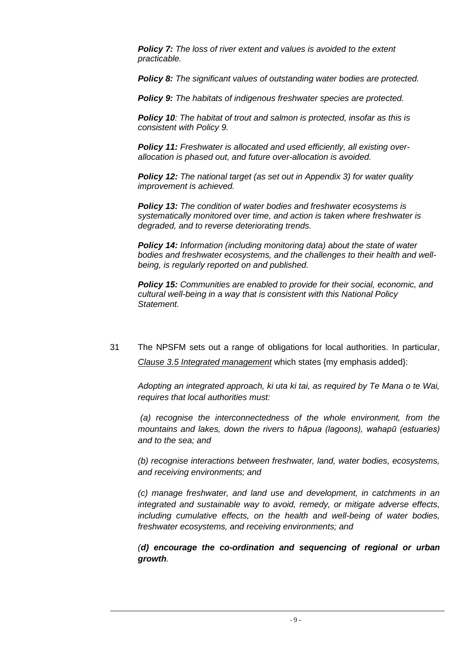*Policy 7: The loss of river extent and values is avoided to the extent practicable.* 

*Policy 8: The significant values of outstanding water bodies are protected.* 

*Policy 9: The habitats of indigenous freshwater species are protected.* 

*Policy 10: The habitat of trout and salmon is protected, insofar as this is consistent with Policy 9.* 

*Policy 11: Freshwater is allocated and used efficiently, all existing overallocation is phased out, and future over-allocation is avoided.* 

*Policy 12: The national target (as set out in Appendix 3) for water quality improvement is achieved.* 

*Policy 13: The condition of water bodies and freshwater ecosystems is systematically monitored over time, and action is taken where freshwater is degraded, and to reverse deteriorating trends.*

*Policy 14: Information (including monitoring data) about the state of water bodies and freshwater ecosystems, and the challenges to their health and wellbeing, is regularly reported on and published.* 

*Policy 15: Communities are enabled to provide for their social, economic, and cultural well-being in a way that is consistent with this National Policy Statement.*

31 The NPSFM sets out a range of obligations for local authorities. In particular, *Clause 3.5 Integrated management* which states {my emphasis added}:

*Adopting an integrated approach, ki uta ki tai, as required by Te Mana o te Wai, requires that local authorities must:*

*(a) recognise the interconnectedness of the whole environment, from the mountains and lakes, down the rivers to hāpua (lagoons), wahapū (estuaries) and to the sea; and* 

*(b) recognise interactions between freshwater, land, water bodies, ecosystems, and receiving environments; and* 

*(c) manage freshwater, and land use and development, in catchments in an integrated and sustainable way to avoid, remedy, or mitigate adverse effects, including cumulative effects, on the health and well-being of water bodies, freshwater ecosystems, and receiving environments; and* 

*(d) encourage the co-ordination and sequencing of regional or urban growth.*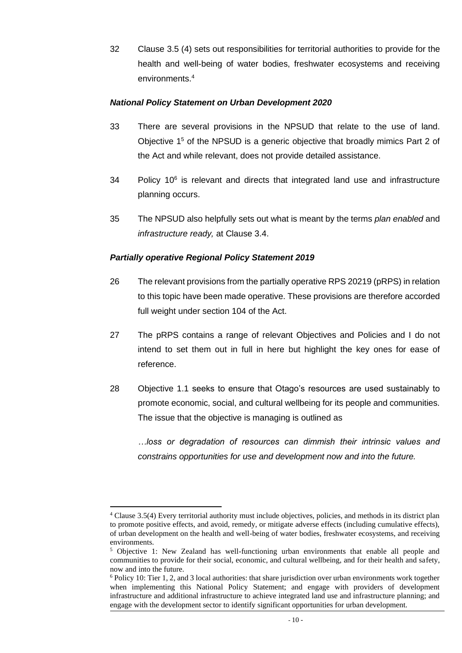32 Clause 3.5 (4) sets out responsibilities for territorial authorities to provide for the health and well-being of water bodies, freshwater ecosystems and receiving environments.<sup>4</sup>

#### *National Policy Statement on Urban Development 2020*

- 33 There are several provisions in the NPSUD that relate to the use of land. Objective  $1<sup>5</sup>$  of the NPSUD is a generic objective that broadly mimics Part 2 of the Act and while relevant, does not provide detailed assistance.
- 34 Policy 10<sup>6</sup> is relevant and directs that integrated land use and infrastructure planning occurs.
- 35 The NPSUD also helpfully sets out what is meant by the terms *plan enabled* and *infrastructure ready,* at Clause 3.4.

#### *Partially operative Regional Policy Statement 2019*

- 26 The relevant provisions from the partially operative RPS 20219 (pRPS) in relation to this topic have been made operative. These provisions are therefore accorded full weight under section 104 of the Act.
- 27 The pRPS contains a range of relevant Objectives and Policies and I do not intend to set them out in full in here but highlight the key ones for ease of reference.
- 28 Objective 1.1 seeks to ensure that Otago's resources are used sustainably to promote economic, social, and cultural wellbeing for its people and communities. The issue that the objective is managing is outlined as

*…loss or degradation of resources can dimmish their intrinsic values and constrains opportunities for use and development now and into the future.*

<sup>4</sup> Clause 3.5(4) Every territorial authority must include objectives, policies, and methods in its district plan to promote positive effects, and avoid, remedy, or mitigate adverse effects (including cumulative effects), of urban development on the health and well-being of water bodies, freshwater ecosystems, and receiving environments.

<sup>&</sup>lt;sup>5</sup> Objective 1: New Zealand has well-functioning urban environments that enable all people and communities to provide for their social, economic, and cultural wellbeing, and for their health and safety, now and into the future.

<sup>6</sup> Policy 10: Tier 1, 2, and 3 local authorities: that share jurisdiction over urban environments work together when implementing this National Policy Statement; and engage with providers of development infrastructure and additional infrastructure to achieve integrated land use and infrastructure planning; and engage with the development sector to identify significant opportunities for urban development.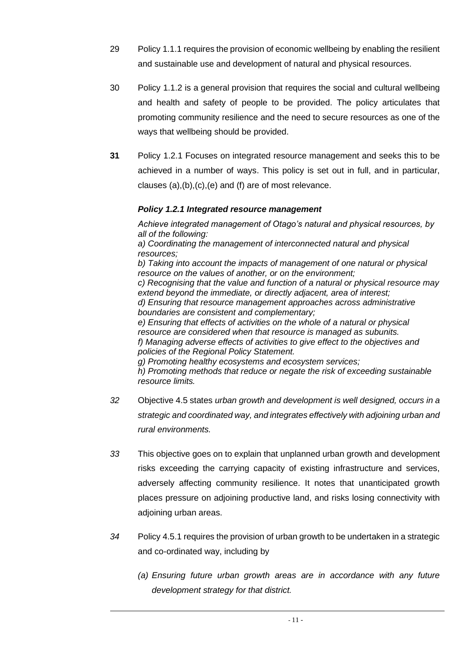- 29 Policy 1.1.1 requires the provision of economic wellbeing by enabling the resilient and sustainable use and development of natural and physical resources.
- 30 Policy 1.1.2 is a general provision that requires the social and cultural wellbeing and health and safety of people to be provided. The policy articulates that promoting community resilience and the need to secure resources as one of the ways that wellbeing should be provided.
- **31** Policy 1.2.1 Focuses on integrated resource management and seeks this to be achieved in a number of ways. This policy is set out in full, and in particular, clauses (a),(b),(c),(e) and (f) are of most relevance.

# *Policy 1.2.1 Integrated resource management*

*Achieve integrated management of Otago's natural and physical resources, by all of the following: a) Coordinating the management of interconnected natural and physical resources;*

*b) Taking into account the impacts of management of one natural or physical resource on the values of another, or on the environment; c) Recognising that the value and function of a natural or physical resource may extend beyond the immediate, or directly adjacent, area of interest; d) Ensuring that resource management approaches across administrative boundaries are consistent and complementary; e) Ensuring that effects of activities on the whole of a natural or physical resource are considered when that resource is managed as subunits. f) Managing adverse effects of activities to give effect to the objectives and policies of the Regional Policy Statement. g) Promoting healthy ecosystems and ecosystem services;*

*h) Promoting methods that reduce or negate the risk of exceeding sustainable resource limits.*

- *32* Objective 4.5 states *urban growth and development is well designed, occurs in a strategic and coordinated way, and integrates effectively with adjoining urban and rural environments.*
- *33* This objective goes on to explain that unplanned urban growth and development risks exceeding the carrying capacity of existing infrastructure and services, adversely affecting community resilience. It notes that unanticipated growth places pressure on adjoining productive land, and risks losing connectivity with adjoining urban areas.
- *34* Policy 4.5.1 requires the provision of urban growth to be undertaken in a strategic and co-ordinated way, including by
	- *(a) Ensuring future urban growth areas are in accordance with any future development strategy for that district.*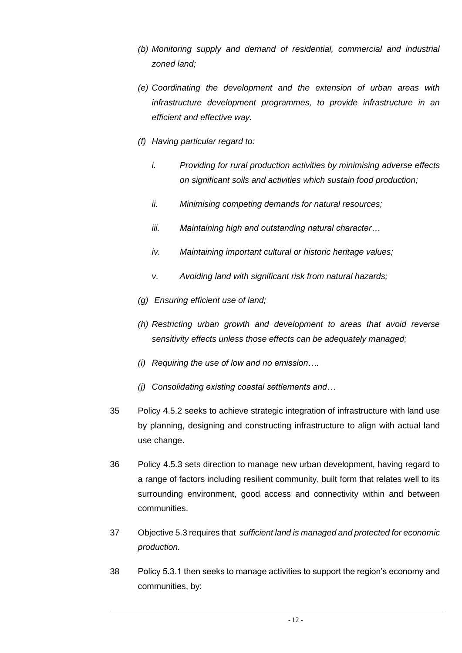- *(b) Monitoring supply and demand of residential, commercial and industrial zoned land;*
- *(e) Coordinating the development and the extension of urban areas with infrastructure development programmes, to provide infrastructure in an efficient and effective way.*
- *(f) Having particular regard to:*
	- *i. Providing for rural production activities by minimising adverse effects on significant soils and activities which sustain food production;*
	- *ii. Minimising competing demands for natural resources;*
	- *iii. Maintaining high and outstanding natural character…*
	- *iv. Maintaining important cultural or historic heritage values;*
	- *v. Avoiding land with significant risk from natural hazards;*
- *(g) Ensuring efficient use of land;*
- *(h) Restricting urban growth and development to areas that avoid reverse sensitivity effects unless those effects can be adequately managed;*
- *(i) Requiring the use of low and no emission….*
- *(j) Consolidating existing coastal settlements and…*
- 35 Policy 4.5.2 seeks to achieve strategic integration of infrastructure with land use by planning, designing and constructing infrastructure to align with actual land use change.
- 36 Policy 4.5.3 sets direction to manage new urban development, having regard to a range of factors including resilient community, built form that relates well to its surrounding environment, good access and connectivity within and between communities.
- 37 Objective 5.3 requires that *sufficient land is managed and protected for economic production.*
- 38 Policy 5.3.1 then seeks to manage activities to support the region's economy and communities, by: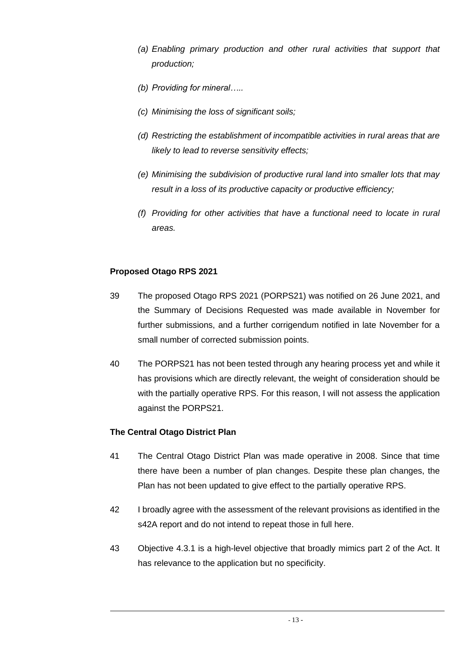- *(a) Enabling primary production and other rural activities that support that production;*
- *(b) Providing for mineral…..*
- *(c) Minimising the loss of significant soils;*
- *(d) Restricting the establishment of incompatible activities in rural areas that are likely to lead to reverse sensitivity effects;*
- *(e) Minimising the subdivision of productive rural land into smaller lots that may result in a loss of its productive capacity or productive efficiency;*
- *(f) Providing for other activities that have a functional need to locate in rural areas.*

#### **Proposed Otago RPS 2021**

- 39 The proposed Otago RPS 2021 (PORPS21) was notified on 26 June 2021, and the Summary of Decisions Requested was made available in November for further submissions, and a further corrigendum notified in late November for a small number of corrected submission points.
- 40 The PORPS21 has not been tested through any hearing process yet and while it has provisions which are directly relevant, the weight of consideration should be with the partially operative RPS. For this reason, I will not assess the application against the PORPS21.

#### **The Central Otago District Plan**

- 41 The Central Otago District Plan was made operative in 2008. Since that time there have been a number of plan changes. Despite these plan changes, the Plan has not been updated to give effect to the partially operative RPS.
- 42 I broadly agree with the assessment of the relevant provisions as identified in the s42A report and do not intend to repeat those in full here.
- 43 Objective 4.3.1 is a high-level objective that broadly mimics part 2 of the Act. It has relevance to the application but no specificity.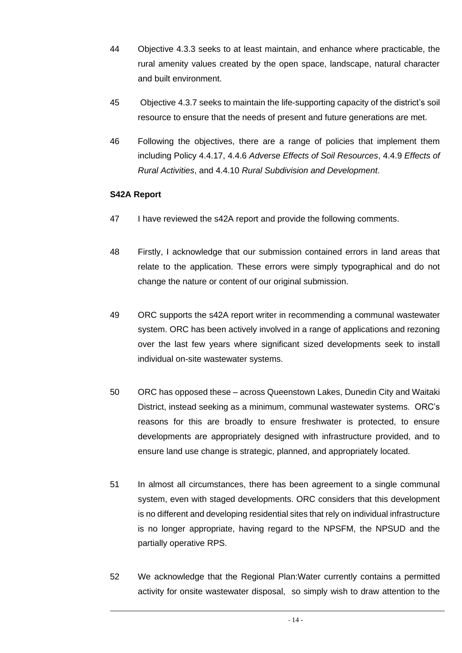- 44 Objective 4.3.3 seeks to at least maintain, and enhance where practicable, the rural amenity values created by the open space, landscape, natural character and built environment.
- 45 Objective 4.3.7 seeks to maintain the life-supporting capacity of the district's soil resource to ensure that the needs of present and future generations are met.
- 46 Following the objectives, there are a range of policies that implement them including Policy 4.4.17, 4.4.6 *Adverse Effects of Soil Resources*, 4.4.9 *Effects of Rural Activities*, and 4.4.10 *Rural Subdivision and Development*.

# **S42A Report**

- 47 I have reviewed the s42A report and provide the following comments.
- 48 Firstly, I acknowledge that our submission contained errors in land areas that relate to the application. These errors were simply typographical and do not change the nature or content of our original submission.
- 49 ORC supports the s42A report writer in recommending a communal wastewater system. ORC has been actively involved in a range of applications and rezoning over the last few years where significant sized developments seek to install individual on-site wastewater systems.
- 50 ORC has opposed these across Queenstown Lakes, Dunedin City and Waitaki District, instead seeking as a minimum, communal wastewater systems. ORC's reasons for this are broadly to ensure freshwater is protected, to ensure developments are appropriately designed with infrastructure provided, and to ensure land use change is strategic, planned, and appropriately located.
- 51 In almost all circumstances, there has been agreement to a single communal system, even with staged developments. ORC considers that this development is no different and developing residential sites that rely on individual infrastructure is no longer appropriate, having regard to the NPSFM, the NPSUD and the partially operative RPS.
- 52 We acknowledge that the Regional Plan:Water currently contains a permitted activity for onsite wastewater disposal, so simply wish to draw attention to the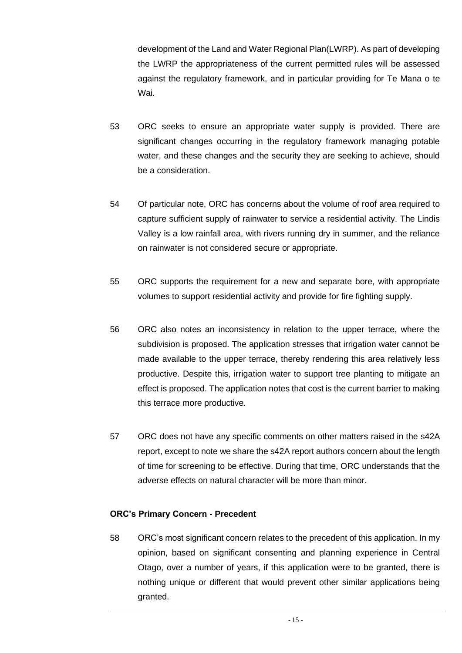development of the Land and Water Regional Plan(LWRP). As part of developing the LWRP the appropriateness of the current permitted rules will be assessed against the regulatory framework, and in particular providing for Te Mana o te Wai.

- 53 ORC seeks to ensure an appropriate water supply is provided. There are significant changes occurring in the regulatory framework managing potable water, and these changes and the security they are seeking to achieve, should be a consideration.
- 54 Of particular note, ORC has concerns about the volume of roof area required to capture sufficient supply of rainwater to service a residential activity. The Lindis Valley is a low rainfall area, with rivers running dry in summer, and the reliance on rainwater is not considered secure or appropriate.
- 55 ORC supports the requirement for a new and separate bore, with appropriate volumes to support residential activity and provide for fire fighting supply.
- 56 ORC also notes an inconsistency in relation to the upper terrace, where the subdivision is proposed. The application stresses that irrigation water cannot be made available to the upper terrace, thereby rendering this area relatively less productive. Despite this, irrigation water to support tree planting to mitigate an effect is proposed. The application notes that cost is the current barrier to making this terrace more productive.
- 57 ORC does not have any specific comments on other matters raised in the s42A report, except to note we share the s42A report authors concern about the length of time for screening to be effective. During that time, ORC understands that the adverse effects on natural character will be more than minor.

#### **ORC's Primary Concern - Precedent**

58 ORC's most significant concern relates to the precedent of this application. In my opinion, based on significant consenting and planning experience in Central Otago, over a number of years, if this application were to be granted, there is nothing unique or different that would prevent other similar applications being granted.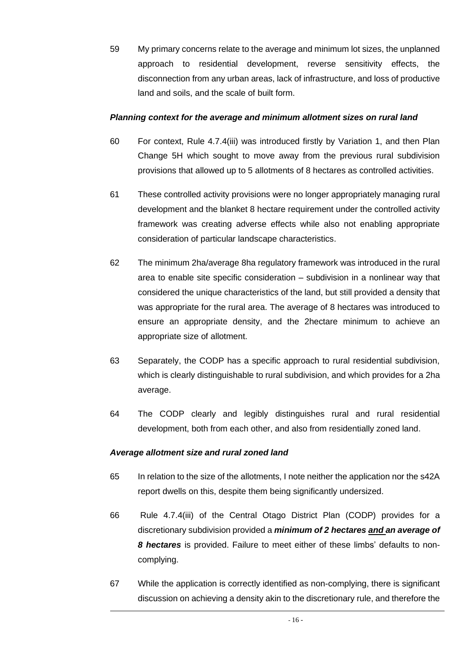59 My primary concerns relate to the average and minimum lot sizes, the unplanned approach to residential development, reverse sensitivity effects, the disconnection from any urban areas, lack of infrastructure, and loss of productive land and soils, and the scale of built form.

#### *Planning context for the average and minimum allotment sizes on rural land*

- 60 For context, Rule 4.7.4(iii) was introduced firstly by Variation 1, and then Plan Change 5H which sought to move away from the previous rural subdivision provisions that allowed up to 5 allotments of 8 hectares as controlled activities.
- 61 These controlled activity provisions were no longer appropriately managing rural development and the blanket 8 hectare requirement under the controlled activity framework was creating adverse effects while also not enabling appropriate consideration of particular landscape characteristics.
- 62 The minimum 2ha/average 8ha regulatory framework was introduced in the rural area to enable site specific consideration – subdivision in a nonlinear way that considered the unique characteristics of the land, but still provided a density that was appropriate for the rural area. The average of 8 hectares was introduced to ensure an appropriate density, and the 2hectare minimum to achieve an appropriate size of allotment.
- 63 Separately, the CODP has a specific approach to rural residential subdivision, which is clearly distinguishable to rural subdivision, and which provides for a 2ha average.
- 64 The CODP clearly and legibly distinguishes rural and rural residential development, both from each other, and also from residentially zoned land.

#### *Average allotment size and rural zoned land*

- 65 In relation to the size of the allotments, I note neither the application nor the s42A report dwells on this, despite them being significantly undersized.
- 66 Rule 4.7.4(iii) of the Central Otago District Plan (CODP) provides for a discretionary subdivision provided a *minimum of 2 hectares and an average of 8 hectares* is provided. Failure to meet either of these limbs' defaults to noncomplying.
- 67 While the application is correctly identified as non-complying, there is significant discussion on achieving a density akin to the discretionary rule, and therefore the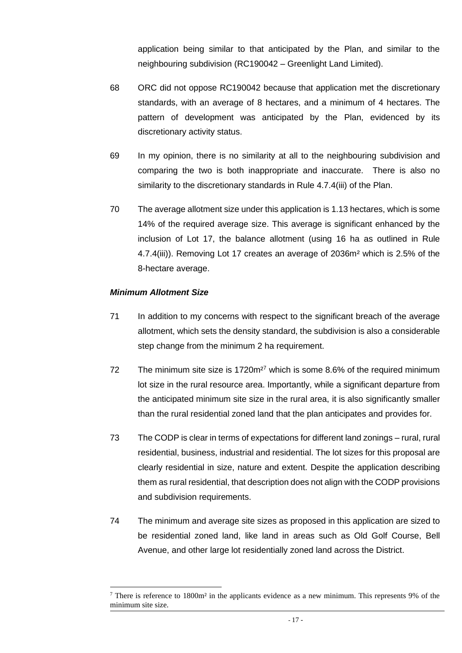application being similar to that anticipated by the Plan, and similar to the neighbouring subdivision (RC190042 – Greenlight Land Limited).

- 68 ORC did not oppose RC190042 because that application met the discretionary standards, with an average of 8 hectares, and a minimum of 4 hectares. The pattern of development was anticipated by the Plan, evidenced by its discretionary activity status.
- 69 In my opinion, there is no similarity at all to the neighbouring subdivision and comparing the two is both inappropriate and inaccurate. There is also no similarity to the discretionary standards in Rule 4.7.4(iii) of the Plan.
- 70 The average allotment size under this application is 1.13 hectares, which is some 14% of the required average size. This average is significant enhanced by the inclusion of Lot 17, the balance allotment (using 16 ha as outlined in Rule 4.7.4(iii)). Removing Lot 17 creates an average of 2036m² which is 2.5% of the 8-hectare average.

#### *Minimum Allotment Size*

- 71 In addition to my concerns with respect to the significant breach of the average allotment, which sets the density standard, the subdivision is also a considerable step change from the minimum 2 ha requirement.
- 72 The minimum site size is 1720m<sup>27</sup> which is some 8.6% of the required minimum lot size in the rural resource area. Importantly, while a significant departure from the anticipated minimum site size in the rural area, it is also significantly smaller than the rural residential zoned land that the plan anticipates and provides for.
- 73 The CODP is clear in terms of expectations for different land zonings rural, rural residential, business, industrial and residential. The lot sizes for this proposal are clearly residential in size, nature and extent. Despite the application describing them as rural residential, that description does not align with the CODP provisions and subdivision requirements.
- 74 The minimum and average site sizes as proposed in this application are sized to be residential zoned land, like land in areas such as Old Golf Course, Bell Avenue, and other large lot residentially zoned land across the District.

<sup>7</sup> There is reference to 1800m² in the applicants evidence as a new minimum. This represents 9% of the minimum site size.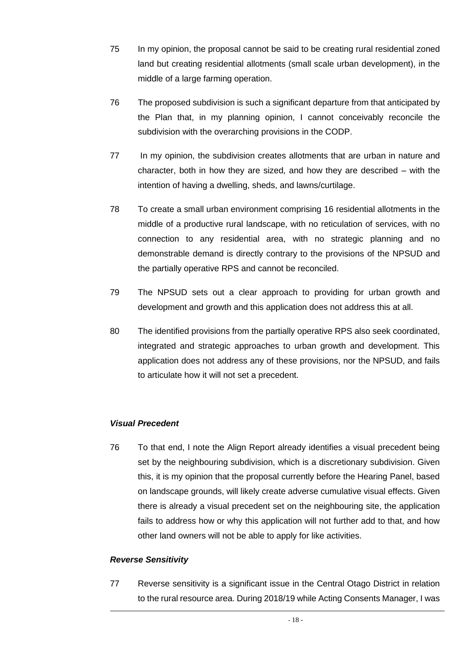- 75 In my opinion, the proposal cannot be said to be creating rural residential zoned land but creating residential allotments (small scale urban development), in the middle of a large farming operation.
- 76 The proposed subdivision is such a significant departure from that anticipated by the Plan that, in my planning opinion, I cannot conceivably reconcile the subdivision with the overarching provisions in the CODP.
- 77 In my opinion, the subdivision creates allotments that are urban in nature and character, both in how they are sized, and how they are described – with the intention of having a dwelling, sheds, and lawns/curtilage.
- 78 To create a small urban environment comprising 16 residential allotments in the middle of a productive rural landscape, with no reticulation of services, with no connection to any residential area, with no strategic planning and no demonstrable demand is directly contrary to the provisions of the NPSUD and the partially operative RPS and cannot be reconciled.
- 79 The NPSUD sets out a clear approach to providing for urban growth and development and growth and this application does not address this at all.
- 80 The identified provisions from the partially operative RPS also seek coordinated, integrated and strategic approaches to urban growth and development. This application does not address any of these provisions, nor the NPSUD, and fails to articulate how it will not set a precedent.

#### *Visual Precedent*

76 To that end, I note the Align Report already identifies a visual precedent being set by the neighbouring subdivision, which is a discretionary subdivision. Given this, it is my opinion that the proposal currently before the Hearing Panel, based on landscape grounds, will likely create adverse cumulative visual effects. Given there is already a visual precedent set on the neighbouring site, the application fails to address how or why this application will not further add to that, and how other land owners will not be able to apply for like activities.

#### *Reverse Sensitivity*

77 Reverse sensitivity is a significant issue in the Central Otago District in relation to the rural resource area. During 2018/19 while Acting Consents Manager, I was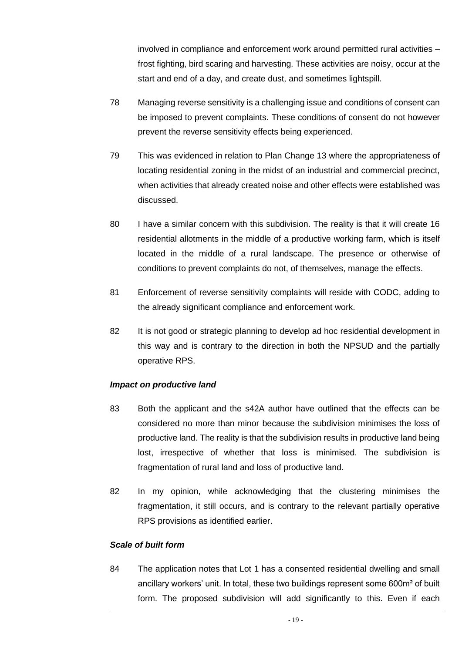involved in compliance and enforcement work around permitted rural activities – frost fighting, bird scaring and harvesting. These activities are noisy, occur at the start and end of a day, and create dust, and sometimes lightspill.

- 78 Managing reverse sensitivity is a challenging issue and conditions of consent can be imposed to prevent complaints. These conditions of consent do not however prevent the reverse sensitivity effects being experienced.
- 79 This was evidenced in relation to Plan Change 13 where the appropriateness of locating residential zoning in the midst of an industrial and commercial precinct, when activities that already created noise and other effects were established was discussed.
- 80 I have a similar concern with this subdivision. The reality is that it will create 16 residential allotments in the middle of a productive working farm, which is itself located in the middle of a rural landscape. The presence or otherwise of conditions to prevent complaints do not, of themselves, manage the effects.
- 81 Enforcement of reverse sensitivity complaints will reside with CODC, adding to the already significant compliance and enforcement work.
- 82 It is not good or strategic planning to develop ad hoc residential development in this way and is contrary to the direction in both the NPSUD and the partially operative RPS.

#### *Impact on productive land*

- 83 Both the applicant and the s42A author have outlined that the effects can be considered no more than minor because the subdivision minimises the loss of productive land. The reality is that the subdivision results in productive land being lost, irrespective of whether that loss is minimised. The subdivision is fragmentation of rural land and loss of productive land.
- 82 In my opinion, while acknowledging that the clustering minimises the fragmentation, it still occurs, and is contrary to the relevant partially operative RPS provisions as identified earlier.

#### *Scale of built form*

84 The application notes that Lot 1 has a consented residential dwelling and small ancillary workers' unit. In total, these two buildings represent some 600m² of built form. The proposed subdivision will add significantly to this. Even if each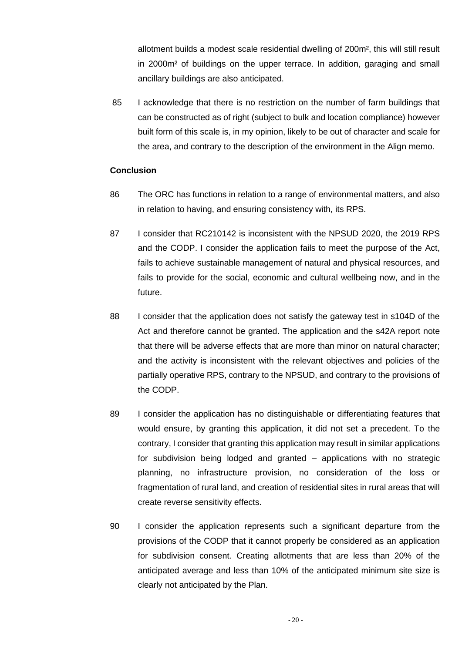allotment builds a modest scale residential dwelling of 200m², this will still result in 2000m² of buildings on the upper terrace. In addition, garaging and small ancillary buildings are also anticipated.

85 I acknowledge that there is no restriction on the number of farm buildings that can be constructed as of right (subject to bulk and location compliance) however built form of this scale is, in my opinion, likely to be out of character and scale for the area, and contrary to the description of the environment in the Align memo.

# **Conclusion**

- 86 The ORC has functions in relation to a range of environmental matters, and also in relation to having, and ensuring consistency with, its RPS.
- 87 I consider that RC210142 is inconsistent with the NPSUD 2020, the 2019 RPS and the CODP. I consider the application fails to meet the purpose of the Act, fails to achieve sustainable management of natural and physical resources, and fails to provide for the social, economic and cultural wellbeing now, and in the future.
- 88 I consider that the application does not satisfy the gateway test in s104D of the Act and therefore cannot be granted. The application and the s42A report note that there will be adverse effects that are more than minor on natural character; and the activity is inconsistent with the relevant objectives and policies of the partially operative RPS, contrary to the NPSUD, and contrary to the provisions of the CODP.
- 89 I consider the application has no distinguishable or differentiating features that would ensure, by granting this application, it did not set a precedent. To the contrary, I consider that granting this application may result in similar applications for subdivision being lodged and granted – applications with no strategic planning, no infrastructure provision, no consideration of the loss or fragmentation of rural land, and creation of residential sites in rural areas that will create reverse sensitivity effects.
- 90 I consider the application represents such a significant departure from the provisions of the CODP that it cannot properly be considered as an application for subdivision consent. Creating allotments that are less than 20% of the anticipated average and less than 10% of the anticipated minimum site size is clearly not anticipated by the Plan.